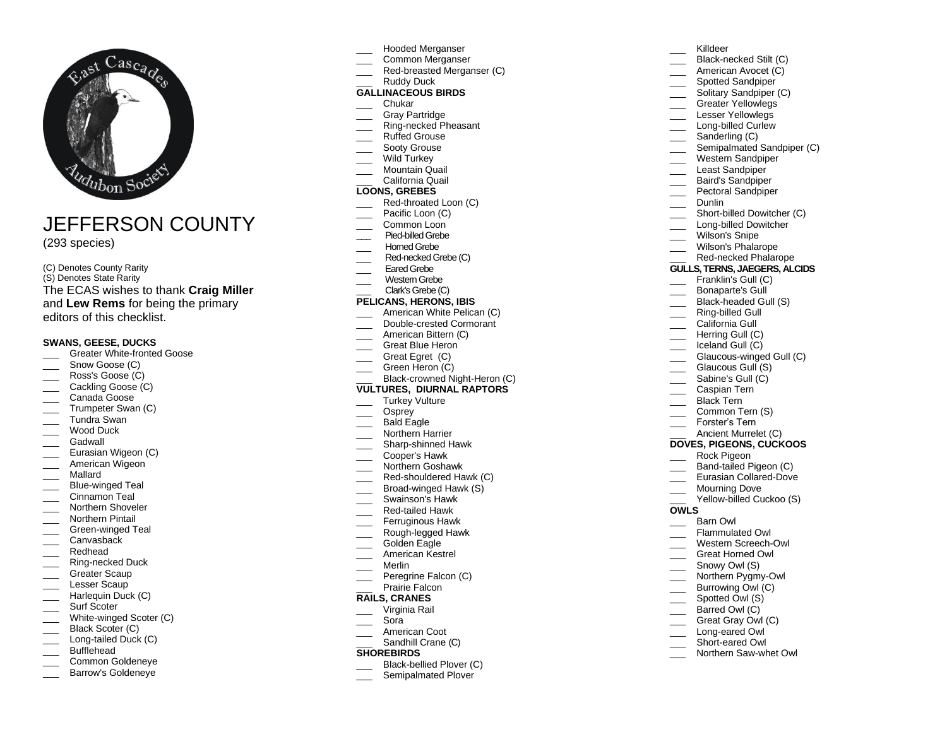

JEFFERSON COUNTY

(2 9 3 species)

(C) Denotes County Rarity (S) Denotes State Rarity The ECAS wishes to thank **Craig Miller** and **Lew Rems** for being the primary editors of this checklist.

## **SWANS, GEESE, DUCKS**

- \_\_\_ Greater White -fronted Goose
- Snow Goose (C)
- Ross's Goose (C)
- Cackling Goose (C)
- Canada Goose
- Trumpeter Swan (C)
- \_\_\_ Tundra Swan
- Wood Duck
- Gadwall
- \_\_\_ Eurasian Wigeon (C)
- American Wigeon
- \_\_\_ Mallard
- \_\_\_ Blue -winged Teal
- \_\_\_ Cinnamon Teal
- \_\_\_ Northern Shoveler
- Northern Pintail
- \_\_\_ Green -winged Teal
- Canvasback
- Redhead
- \_\_\_ Ring -necked Duck Greater Scaup
- \_\_\_ Lesser Scaup
- Harlequin Duck (C)
- Surf Scoter
- \_\_\_ White -winged Scoter (C)
- Black Scoter (C)
- \_\_\_ Long -tailed Duck (C)
- Bufflehead
- \_\_\_ Common Goldeneye
- Barrow's Goldeneve
- \_\_\_ Hooded Merganser
- \_\_\_ Common Merganser
- \_\_\_ Red -breasted Merganser (C)
- Ruddy Duck

# **GALLINACEOUS BIRDS**

- \_\_\_ Chukar
- Gray Partridge
- \_\_\_ Ring -necked Pheasant Ruffed Grouse
- Sooty Grouse
- Wild Turkey
- Mountain Quail
- \_\_\_ California Quail

## **LOONS, GREBES**

- \_\_\_ Red -throated Loon (C)
- Pacific Loon (C)
- Common Loon
- **\_\_\_** Pied -billed Grebe
- Horned Grebe
- \_\_\_ Red -necked Grebe (C)
- Eared Grebe
- \_\_\_ Western Grebe
- Clark's Grebe (C)

## **PELICANS, HERONS, IBIS**

- American White Pelican (C)
- \_\_\_ Double -crested Cormorant
- American Bittern (C)
- Great Blue Heron
- Great Egret (C)
- Green Heron (C)
- \_\_\_ Black-crowned Night-Heron (C) **VULTURES, DIURNAL RAPTORS**
- Turkey Vulture
- Osprey
- Bald Eagle
- Northern Harrier
- \_\_\_ Sharp -shinned Hawk
- \_\_\_ Cooper's Hawk
- \_\_\_ Northern Goshawk
- \_\_\_ Red -shouldered Hawk (C)
- \_\_\_ Broad -winged Hawk (S)
- Swainson's Hawk
- \_\_\_ Red -tailed Hawk
- Ferruginous Hawk
- \_\_\_ Rough -legged Hawk
- Golden Eagle
- American Kestrel
- \_\_\_ Merlin
- Peregrine Falcon (C)
- Prairie Falcon **RAILS, CRANES**

- \_\_\_ Virginia Rail
- \_\_\_ Sora
- American Coot Sandhill Crane (C)
- 

## **SHOREBIRDS**

- \_\_\_ Black -bellied Plover (C)
- Semipalmated Plover
- \_\_\_ Killdeer
- \_\_\_ Black -necked Stilt (C)
- American Avocet (C)
- Spotted Sandpiper
	- Solitary Sandpiper (C)
	- Greater Yellowlegs
- Lesser Yellowlegs

Dunlin

 $\overline{\phantom{a}}$ 

**OWLS**

C aspian Tern Black Tern Common Tern (S)

Ancient Murrelet (C) **DOVES, PIGEONS, CUCKOOS** Rock Pigeon \_\_\_ Band -tailed Pig eon (C) \_\_\_ Eurasian Collared -Dove Mourning Dove \_\_\_ Yellow -billed Cuckoo (S)

\_\_\_ Forster's Tern

\_\_\_ Barn Owl Flammulated Owl \_\_\_ Western Screech -Owl \_\_\_ Great Horned Owl \_\_\_ Snowy Owl (S) \_\_\_ Northern Pygmy-Owl Burrowing Owl (C) Spotted Owl (S) Barred Owl (C) Great Gray Owl (C) \_\_\_ Long -eared Owl \_\_\_ Short -eared Owl \_\_\_ Northern Saw -whet Owl

- \_\_\_ Long -billed Curlew
- \_\_\_ Sanderling (C)
- Semipalmated Sandpiper (C) \_\_\_ Western Sandpiper

\_\_\_ Short -billed Dowitcher (C) \_\_\_ Long -billed Dowitcher \_\_\_ Wilson's Snipe \_\_\_ Wilson's Phalarope \_\_\_ Red -necked Phalarope **GULLS, TERNS, JAEGERS, ALCIDS** Franklin's Gull (C) Bonaparte's Gull \_\_\_ Black -headed Gull (S) \_\_\_ Ring -billed Gull California Gull Herring Gull (C) Iceland Gull (C) \_\_\_ Glaucous -winged Gull (C) Glaucous Gull (S) Sabine's Gull (C)

Least Sandpiper Baird's Sandpiper Pectoral Sandpiper